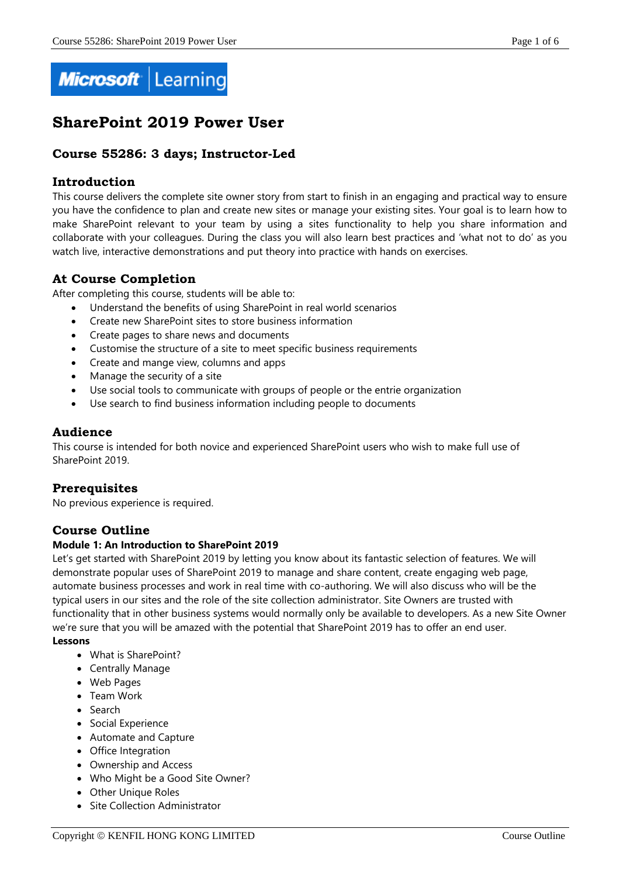

# **SharePoint 2019 Power User**

# **Course 55286: 3 days; Instructor-Led**

# **Introduction**

This course delivers the complete site owner story from start to finish in an engaging and practical way to ensure you have the confidence to plan and create new sites or manage your existing sites. Your goal is to learn how to make SharePoint relevant to your team by using a sites functionality to help you share information and collaborate with your colleagues. During the class you will also learn best practices and 'what not to do' as you watch live, interactive demonstrations and put theory into practice with hands on exercises.

# **At Course Completion**

After completing this course, students will be able to:

- Understand the benefits of using SharePoint in real world scenarios
- Create new SharePoint sites to store business information
- Create pages to share news and documents
- Customise the structure of a site to meet specific business requirements
- Create and mange view, columns and apps
- Manage the security of a site
- Use social tools to communicate with groups of people or the entrie organization
- Use search to find business information including people to documents

# **Audience**

This course is intended for both novice and experienced SharePoint users who wish to make full use of SharePoint 2019.

# **Prerequisites**

No previous experience is required.

# **Course Outline**

# **Module 1: An Introduction to SharePoint 2019**

Let's get started with SharePoint 2019 by letting you know about its fantastic selection of features. We will demonstrate popular uses of SharePoint 2019 to manage and share content, create engaging web page, automate business processes and work in real time with co-authoring. We will also discuss who will be the typical users in our sites and the role of the site collection administrator. Site Owners are trusted with functionality that in other business systems would normally only be available to developers. As a new Site Owner we're sure that you will be amazed with the potential that SharePoint 2019 has to offer an end user.

#### **Lessons**

- What is SharePoint?
- Centrally Manage
- Web Pages
- Team Work
- Search
- Social Experience
- Automate and Capture
- Office Integration
- Ownership and Access
- Who Might be a Good Site Owner?
- Other Unique Roles
- Site Collection Administrator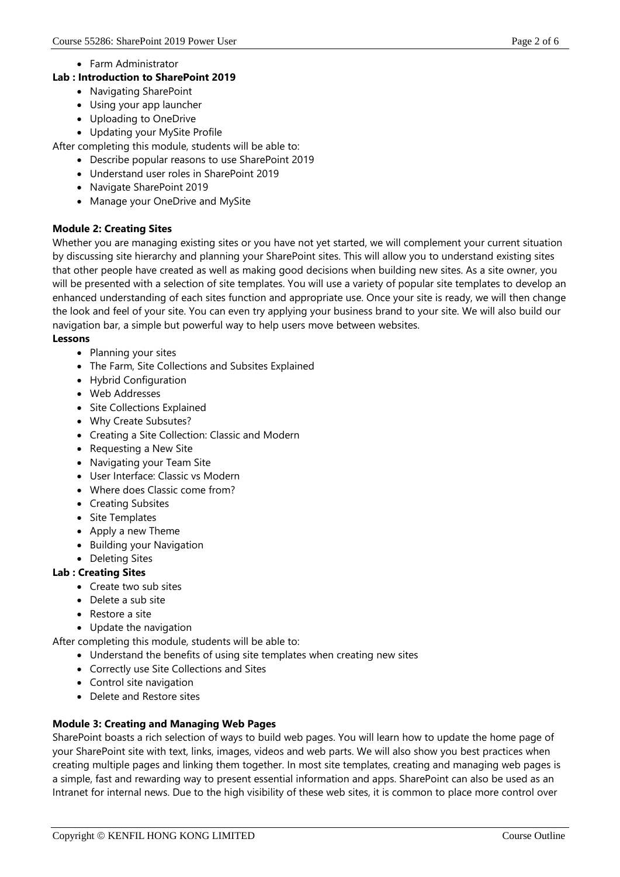• Farm Administrator

# **Lab : Introduction to SharePoint 2019**

- Navigating SharePoint
- Using your app launcher
- Uploading to OneDrive
- Updating your MySite Profile

After completing this module, students will be able to:

- Describe popular reasons to use SharePoint 2019
- Understand user roles in SharePoint 2019
- Navigate SharePoint 2019
- Manage your OneDrive and MySite

# **Module 2: Creating Sites**

Whether you are managing existing sites or you have not yet started, we will complement your current situation by discussing site hierarchy and planning your SharePoint sites. This will allow you to understand existing sites that other people have created as well as making good decisions when building new sites. As a site owner, you will be presented with a selection of site templates. You will use a variety of popular site templates to develop an enhanced understanding of each sites function and appropriate use. Once your site is ready, we will then change the look and feel of your site. You can even try applying your business brand to your site. We will also build our navigation bar, a simple but powerful way to help users move between websites.

#### **Lessons**

- Planning your sites
- The Farm, Site Collections and Subsites Explained
- Hybrid Configuration
- Web Addresses
- Site Collections Explained
- Why Create Subsutes?
- Creating a Site Collection: Classic and Modern
- Requesting a New Site
- Navigating your Team Site
- User Interface: Classic vs Modern
- Where does Classic come from?
- Creating Subsites
- Site Templates
- Apply a new Theme
- **•** Building your Navigation
- Deleting Sites

# **Lab : Creating Sites**

- Create two sub sites
- Delete a sub site
- Restore a site
- Update the navigation

After completing this module, students will be able to:

- Understand the benefits of using site templates when creating new sites
- Correctly use Site Collections and Sites
- Control site navigation
- Delete and Restore sites

# **Module 3: Creating and Managing Web Pages**

SharePoint boasts a rich selection of ways to build web pages. You will learn how to update the home page of your SharePoint site with text, links, images, videos and web parts. We will also show you best practices when creating multiple pages and linking them together. In most site templates, creating and managing web pages is a simple, fast and rewarding way to present essential information and apps. SharePoint can also be used as an Intranet for internal news. Due to the high visibility of these web sites, it is common to place more control over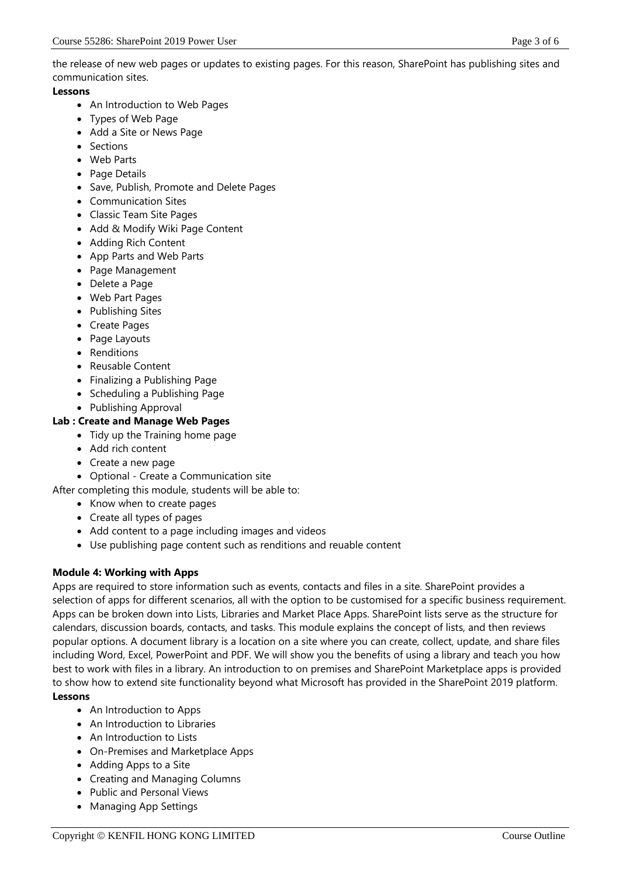the release of new web pages or updates to existing pages. For this reason, SharePoint has publishing sites and communication sites.

#### **Lessons**

- An Introduction to Web Pages
- Types of Web Page
- Add a Site or News Page
- Sections
- Web Parts
- Page Details
- Save, Publish, Promote and Delete Pages
- Communication Sites
- Classic Team Site Pages
- Add & Modify Wiki Page Content
- Adding Rich Content
- App Parts and Web Parts
- Page Management
- Delete a Page
- Web Part Pages
- Publishing Sites
- Create Pages
- Page Layouts
- Renditions
- Reusable Content
- Finalizing a Publishing Page
- Scheduling a Publishing Page
- Publishing Approval

# **Lab : Create and Manage Web Pages**

- Tidy up the Training home page
- Add rich content
- Create a new page
- Optional Create a Communication site
- After completing this module, students will be able to:
	- Know when to create pages
	- Create all types of pages
	- Add content to a page including images and videos
	- Use publishing page content such as renditions and reuable content

# **Module 4: Working with Apps**

Apps are required to store information such as events, contacts and files in a site. SharePoint provides a selection of apps for different scenarios, all with the option to be customised for a specific business requirement. Apps can be broken down into Lists, Libraries and Market Place Apps. SharePoint lists serve as the structure for calendars, discussion boards, contacts, and tasks. This module explains the concept of lists, and then reviews popular options. A document library is a location on a site where you can create, collect, update, and share files including Word, Excel, PowerPoint and PDF. We will show you the benefits of using a library and teach you how best to work with files in a library. An introduction to on premises and SharePoint Marketplace apps is provided to show how to extend site functionality beyond what Microsoft has provided in the SharePoint 2019 platform. **Lessons**

- An Introduction to Apps
- An Introduction to Libraries
- An Introduction to Lists
- On-Premises and Marketplace Apps
- Adding Apps to a Site
- Creating and Managing Columns
- Public and Personal Views
- Managing App Settings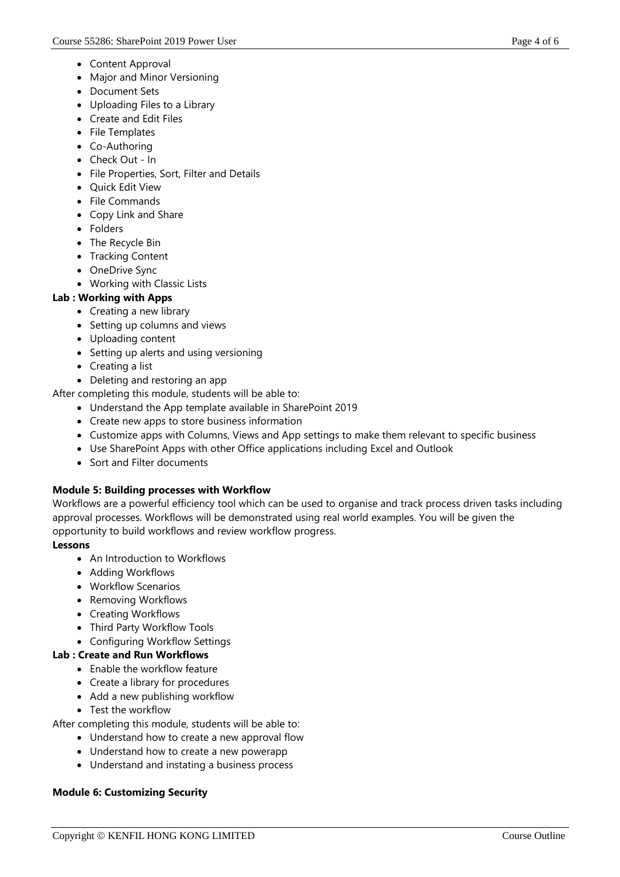- Content Approval
- Major and Minor Versioning
- Document Sets
- Uploading Files to a Library
- Create and Edit Files
- File Templates
- Co-Authoring
- Check Out In
- File Properties, Sort, Filter and Details
- Ouick Edit View
- File Commands
- Copy Link and Share
- Folders
- The Recycle Bin
- Tracking Content
- OneDrive Sync
- Working with Classic Lists

# **Lab : Working with Apps**

- Creating a new library
- Setting up columns and views
- Uploading content
- Setting up alerts and using versioning
- Creating a list
- Deleting and restoring an app

After completing this module, students will be able to:

- Understand the App template available in SharePoint 2019
- Create new apps to store business information
- Customize apps with Columns, Views and App settings to make them relevant to specific business
- Use SharePoint Apps with other Office applications including Excel and Outlook
- Sort and Filter documents

# **Module 5: Building processes with Workflow**

Workflows are a powerful efficiency tool which can be used to organise and track process driven tasks including approval processes. Workflows will be demonstrated using real world examples. You will be given the opportunity to build workflows and review workflow progress.

# **Lessons**

- An Introduction to Workflows
- Adding Workflows
- Workflow Scenarios
- Removing Workflows
- Creating Workflows
- Third Party Workflow Tools
- Configuring Workflow Settings

# **Lab : Create and Run Workflows**

- Enable the workflow feature
- Create a library for procedures
- Add a new publishing workflow
- Test the workflow

After completing this module, students will be able to:

- Understand how to create a new approval flow
- Understand how to create a new powerapp
- Understand and instating a business process

# **Module 6: Customizing Security**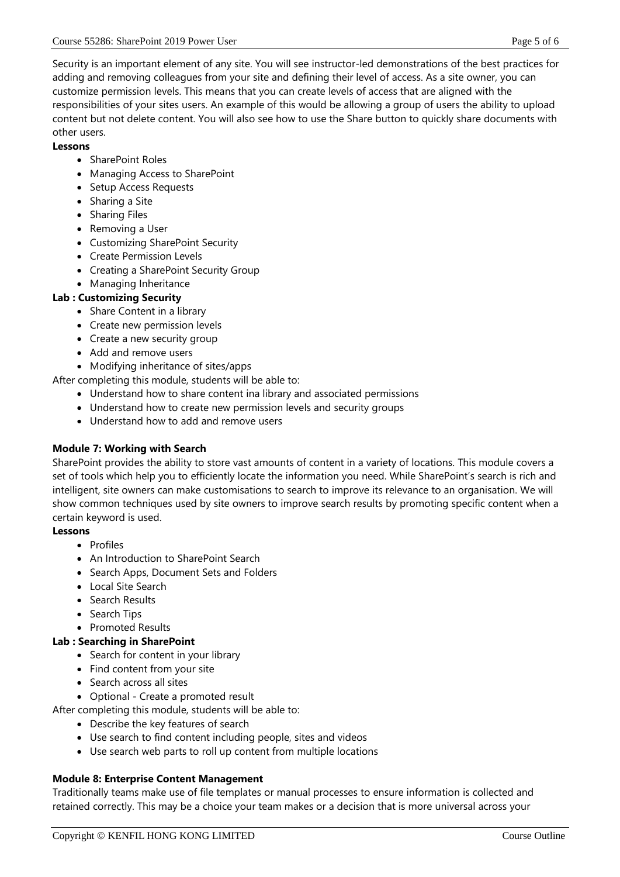Security is an important element of any site. You will see instructor-led demonstrations of the best practices for adding and removing colleagues from your site and defining their level of access. As a site owner, you can customize permission levels. This means that you can create levels of access that are aligned with the responsibilities of your sites users. An example of this would be allowing a group of users the ability to upload content but not delete content. You will also see how to use the Share button to quickly share documents with other users.

#### **Lessons**

- SharePoint Roles
- Managing Access to SharePoint
- Setup Access Requests
- Sharing a Site
- Sharing Files
- Removing a User
- Customizing SharePoint Security
- Create Permission Levels
- Creating a SharePoint Security Group
- Managing Inheritance

# **Lab : Customizing Security**

- Share Content in a library
- Create new permission levels
- Create a new security group
- Add and remove users
- Modifying inheritance of sites/apps

After completing this module, students will be able to:

- Understand how to share content ina library and associated permissions
- Understand how to create new permission levels and security groups
- Understand how to add and remove users

# **Module 7: Working with Search**

SharePoint provides the ability to store vast amounts of content in a variety of locations. This module covers a set of tools which help you to efficiently locate the information you need. While SharePoint's search is rich and intelligent, site owners can make customisations to search to improve its relevance to an organisation. We will show common techniques used by site owners to improve search results by promoting specific content when a certain keyword is used.

#### **Lessons**

- Profiles
- An Introduction to SharePoint Search
- Search Apps, Document Sets and Folders
- Local Site Search
- Search Results
- Search Tips
- Promoted Results

#### **Lab : Searching in SharePoint**

- Search for content in your library
- Find content from your site
- Search across all sites
- Optional Create a promoted result
- After completing this module, students will be able to:
	- Describe the key features of search
		- Use search to find content including people, sites and videos
	- Use search web parts to roll up content from multiple locations

#### **Module 8: Enterprise Content Management**

Traditionally teams make use of file templates or manual processes to ensure information is collected and retained correctly. This may be a choice your team makes or a decision that is more universal across your